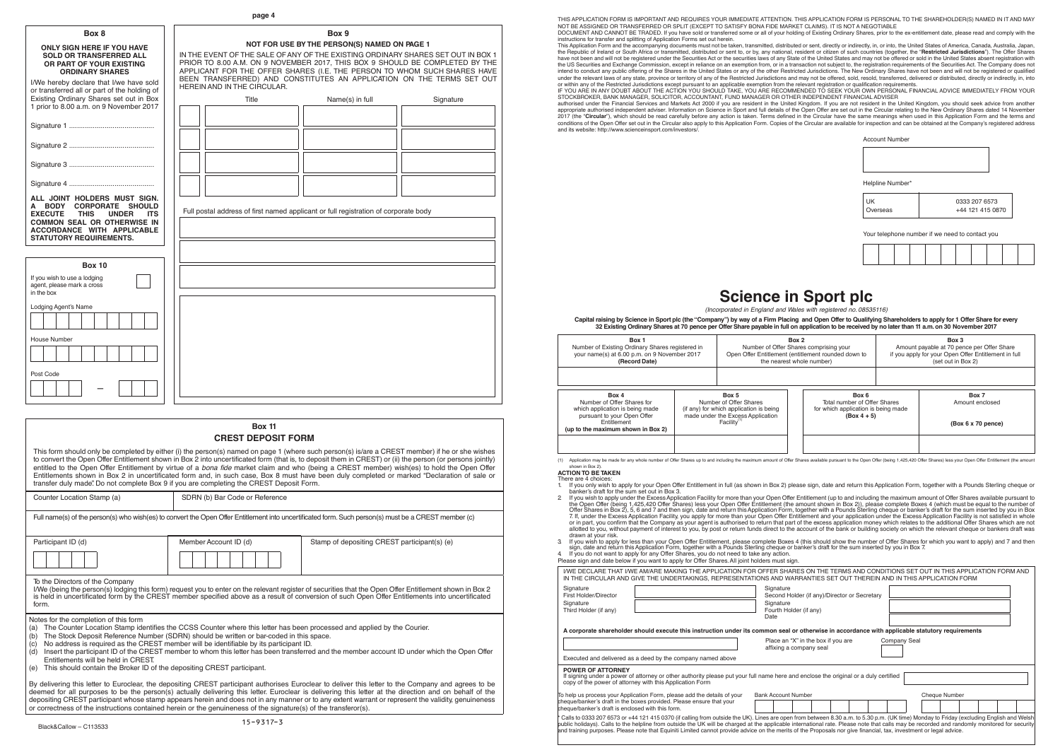banker's draft for the sum set out in Box 3.<br>If you wish to apply under the Excess Application Facility for more than your Open Offer Entitlement (up to and including the maximum amount of Offer Shares available pursuant t 7. If, under the Excess Application Facility, you apply for more than your Open Offer Entitlement and your application under the Excess Application Facility is not satisfied in whole<br>or in part, you confirm that the Compan allotted to you, without payment of interest to you, by post or return funds direct to the account of the bank or building society on which the relevant cheque or bankers draft was

3 If you wish to apply for less than your Open Offer Entitlement, please complete Boxes 4 (this should show the number of Offer Shares for which you want to apply) and 7 and then<br>sign, date and return this Application Form

|                                                                                                                                                                                                                             | I/WE DECLARE THAT I/WE AM/ARE MAKING THE APPLICATION FOR OFFER SHARES ON THE TERMS AND CONDITIONS SET OUT IN THIS APPLICATION FORM AND<br>IN THE CIRCULAR AND GIVE THE UNDERTAKINGS, REPRESENTATIONS AND WARRANTIES SET OUT THEREIN AND IN THIS APPLICATION FORM                                                                                                                                                                                                                                                                                              |  |  |  |  |  |  |
|-----------------------------------------------------------------------------------------------------------------------------------------------------------------------------------------------------------------------------|---------------------------------------------------------------------------------------------------------------------------------------------------------------------------------------------------------------------------------------------------------------------------------------------------------------------------------------------------------------------------------------------------------------------------------------------------------------------------------------------------------------------------------------------------------------|--|--|--|--|--|--|
| Signature<br>First Holder/Director<br>Signature<br>Third Holder (if any)                                                                                                                                                    | Signature<br>Second Holder (if any)/Director or Secretary<br>Signature<br>Fourth Holder (if any)<br>Date                                                                                                                                                                                                                                                                                                                                                                                                                                                      |  |  |  |  |  |  |
|                                                                                                                                                                                                                             | A corporate shareholder should execute this instruction under its common seal or otherwise in accordance with applicable statutory requirements                                                                                                                                                                                                                                                                                                                                                                                                               |  |  |  |  |  |  |
|                                                                                                                                                                                                                             | Place an "X" in the box if you are<br>Company Seal<br>affixing a company seal                                                                                                                                                                                                                                                                                                                                                                                                                                                                                 |  |  |  |  |  |  |
| Executed and delivered as a deed by the company named above                                                                                                                                                                 |                                                                                                                                                                                                                                                                                                                                                                                                                                                                                                                                                               |  |  |  |  |  |  |
| <b>POWER OF ATTORNEY</b><br>If signing under a power of attorney or other authority please put your full name here and enclose the original or a duly certified<br>copy of the power of attorney with this Application Form |                                                                                                                                                                                                                                                                                                                                                                                                                                                                                                                                                               |  |  |  |  |  |  |
| To help us process your Application Form, please add the details of your                                                                                                                                                    | <b>Bank Account Number</b><br><b>Cheque Number</b>                                                                                                                                                                                                                                                                                                                                                                                                                                                                                                            |  |  |  |  |  |  |
| cheque/banker's draft in the boxes provided. Please ensure that your<br>cheque/banker's draft is enclosed with this form.                                                                                                   |                                                                                                                                                                                                                                                                                                                                                                                                                                                                                                                                                               |  |  |  |  |  |  |
|                                                                                                                                                                                                                             | Calls to 0333 207 6573 or +44 121 415 0370 (if calling from outside the UK). Lines are open from between 8.30 a.m. to 5.30 p.m. (UK time) Monday to Friday (excluding English and Welsh<br>public holidays). Calls to the helpline from outside the UK will be charged at the applicable international rate. Please note that calls may be recorded and randomly monitored for security<br>and training purposes. Please note that Equiniti Limited cannot provide advice on the merits of the Proposals nor give financial, tax, investment or legal advice. |  |  |  |  |  |  |

shown in Box 2). **ACTION TO BE TAKEN**

|                                                                                                                                                                                                                               | page 4                                                                                                                                                                                                                                                                                                                                               |                                                       |           |                                                                                                                            |                                                                                                                                                                                                                                                                                                                                                                                                                          |                                                                                               | THIS APPLICATION FORM IS IMPORTANT AND REQUIRES YOUR IMMEDIATE ATTENTION. THIS APPLICATION FORM IS PERSONAL TO THE SHAREHOLDER(S) NAMED IN IT AND MAY                                                                                                                                                                                                                                                                                                                                                                                                                                                                                                                                                                                                                                                                                                                                                                                                                                                                                                                                                                                                                                                                                                                                                                                                                                                                                                                                                                                                                                                        |
|-------------------------------------------------------------------------------------------------------------------------------------------------------------------------------------------------------------------------------|------------------------------------------------------------------------------------------------------------------------------------------------------------------------------------------------------------------------------------------------------------------------------------------------------------------------------------------------------|-------------------------------------------------------|-----------|----------------------------------------------------------------------------------------------------------------------------|--------------------------------------------------------------------------------------------------------------------------------------------------------------------------------------------------------------------------------------------------------------------------------------------------------------------------------------------------------------------------------------------------------------------------|-----------------------------------------------------------------------------------------------|--------------------------------------------------------------------------------------------------------------------------------------------------------------------------------------------------------------------------------------------------------------------------------------------------------------------------------------------------------------------------------------------------------------------------------------------------------------------------------------------------------------------------------------------------------------------------------------------------------------------------------------------------------------------------------------------------------------------------------------------------------------------------------------------------------------------------------------------------------------------------------------------------------------------------------------------------------------------------------------------------------------------------------------------------------------------------------------------------------------------------------------------------------------------------------------------------------------------------------------------------------------------------------------------------------------------------------------------------------------------------------------------------------------------------------------------------------------------------------------------------------------------------------------------------------------------------------------------------------------|
| Box 8<br><b>ONLY SIGN HERE IF YOU HAVE</b><br><b>SOLD OR TRANSFERRED ALL</b><br>OR PART OF YOUR EXISTING<br><b>ORDINARY SHARES</b><br>I/We hereby declare that I/we have sold<br>or transferred all or part of the holding of | IN THE EVENT OF THE SALE OF ANY OF THE EXISTING ORDINARY SHARES SET OUT IN BOX 1<br>PRIOR TO 8.00 A.M. ON 9 NOVEMBER 2017, THIS BOX 9 SHOULD BE COMPLETED BY THE<br>APPLICANT FOR THE OFFER SHARES (I.E. THE PERSON TO WHOM SUCH SHARES HAVE<br>BEEN TRANSFERRED) AND CONSTITUTES AN APPLICATION ON THE TERMS SET OUT<br>HEREIN AND IN THE CIRCULAR. | Box 9<br>NOT FOR USE BY THE PERSON(S) NAMED ON PAGE 1 |           | instructions for transfer and splitting of Application Forms set out herein.                                               | NOT BE ASSIGNED OR TRANSFERRED OR SPLIT (EXCEPT TO SATISFY BONA FIDE MARKET CLAIMS). IT IS NOT A NEGOTIABLE<br>or within any of the Restricted Jurisdictions except pursuant to an applicable exemption from the relevant registration or qualification requirements.                                                                                                                                                    |                                                                                               | DOCUMENT AND CANNOT BE TRADED. If you have sold or transferred some or all of your holding of Existing Ordinary Shares, prior to the ex-entitlement date, please read and comply with the<br>This Application Form and the accompanying documents must not be taken, transmitted, distributed or sent, directly or indirectly, in, or into, the United States of America, Canada, Australia, Japan,<br>the Republic of Ireland or South Africa or transmitted, distributed or sent to, or by, any national, resident or citizen of such countries (together, the "Restricted Jurisdictions"). The Offer Shares<br>have not been and will not be registered under the Securities Act or the securities laws of any State of the United States and may not be offered or sold in the United States absent registration with<br>the US Securities and Exchange Commission, except in reliance on an exemption from, or in a transaction not subject to, the registration requirements of the Securities Act. The Company does not<br>intend to conduct any public offering of the Shares in the United States or any of the other Restricted Jurisdictions. The New Ordinary Shares have not been and will not be registered or qualified<br>under the relevant laws of any state, province or territory of any of the Restricted Jurisdictions and may not be offered, sold, resold, transferred, delivered or distributed, directly or indirectly, in, into<br>IF YOU ARE IN ANY DOUBT ABOUT THE ACTION YOU SHOULD TAKE, YOU ARE RECOMMENDED TO SEEK YOUR OWN PERSONAL FINANCIAL ADVICE IMMEDIATELY FROM YOUR |
| Existing Ordinary Shares set out in Box<br>1 prior to 8.00 a.m. on 9 November 2017                                                                                                                                            | Title                                                                                                                                                                                                                                                                                                                                                | Name(s) in full                                       | Signature |                                                                                                                            | STOCKBROKER, BANK MANAGER, SOLICITOR, ACCOUNTANT, FUND MANAGER OR OTHER INDEPENDENT FINANCIAL ADVISER                                                                                                                                                                                                                                                                                                                    |                                                                                               | authorised under the Financial Services and Markets Act 2000 if you are resident in the United Kingdom. If you are not resident in the United Kingdom, you should seek advice from another<br>appropriate authorised independent adviser. Information on Science in Sport and full details of the Open Offer are set out in the Circular relating to the New Ordinary Shares dated 14 November<br>2017 (the "Circular"), which should be read carefully before any action is taken. Terms defined in the Circular have the same meanings when used in this Application Form and the terms and<br>conditions of the Open Offer set out in the Circular also apply to this Application Form. Copies of the Circular are available for inspection and can be obtained at the Company's registered address                                                                                                                                                                                                                                                                                                                                                                                                                                                                                                                                                                                                                                                                                                                                                                                                       |
|                                                                                                                                                                                                                               |                                                                                                                                                                                                                                                                                                                                                      |                                                       |           | and its website: http://www.scienceinsport.com/investors/.                                                                 |                                                                                                                                                                                                                                                                                                                                                                                                                          | <b>Account Number</b>                                                                         |                                                                                                                                                                                                                                                                                                                                                                                                                                                                                                                                                                                                                                                                                                                                                                                                                                                                                                                                                                                                                                                                                                                                                                                                                                                                                                                                                                                                                                                                                                                                                                                                              |
|                                                                                                                                                                                                                               |                                                                                                                                                                                                                                                                                                                                                      |                                                       |           |                                                                                                                            |                                                                                                                                                                                                                                                                                                                                                                                                                          |                                                                                               |                                                                                                                                                                                                                                                                                                                                                                                                                                                                                                                                                                                                                                                                                                                                                                                                                                                                                                                                                                                                                                                                                                                                                                                                                                                                                                                                                                                                                                                                                                                                                                                                              |
|                                                                                                                                                                                                                               |                                                                                                                                                                                                                                                                                                                                                      |                                                       |           |                                                                                                                            |                                                                                                                                                                                                                                                                                                                                                                                                                          |                                                                                               |                                                                                                                                                                                                                                                                                                                                                                                                                                                                                                                                                                                                                                                                                                                                                                                                                                                                                                                                                                                                                                                                                                                                                                                                                                                                                                                                                                                                                                                                                                                                                                                                              |
|                                                                                                                                                                                                                               |                                                                                                                                                                                                                                                                                                                                                      |                                                       |           |                                                                                                                            |                                                                                                                                                                                                                                                                                                                                                                                                                          | Helpline Number*                                                                              |                                                                                                                                                                                                                                                                                                                                                                                                                                                                                                                                                                                                                                                                                                                                                                                                                                                                                                                                                                                                                                                                                                                                                                                                                                                                                                                                                                                                                                                                                                                                                                                                              |
| ALL JOINT HOLDERS MUST SIGN.<br>A BODY CORPORATE SHOULD<br>EXECUTE THIS UNDER ITS<br><b>COMMON SEAL OR OTHERWISE IN</b>                                                                                                       | Full postal address of first named applicant or full registration of corporate body                                                                                                                                                                                                                                                                  |                                                       |           |                                                                                                                            |                                                                                                                                                                                                                                                                                                                                                                                                                          | <b>UK</b><br>Overseas                                                                         | 0333 207 6573<br>+44 121 415 0870                                                                                                                                                                                                                                                                                                                                                                                                                                                                                                                                                                                                                                                                                                                                                                                                                                                                                                                                                                                                                                                                                                                                                                                                                                                                                                                                                                                                                                                                                                                                                                            |
| ACCORDANCE WITH APPLICABLE<br><b>STATUTORY REQUIREMENTS.</b>                                                                                                                                                                  |                                                                                                                                                                                                                                                                                                                                                      |                                                       |           |                                                                                                                            |                                                                                                                                                                                                                                                                                                                                                                                                                          |                                                                                               | Your telephone number if we need to contact you                                                                                                                                                                                                                                                                                                                                                                                                                                                                                                                                                                                                                                                                                                                                                                                                                                                                                                                                                                                                                                                                                                                                                                                                                                                                                                                                                                                                                                                                                                                                                              |
| <b>Box 10</b>                                                                                                                                                                                                                 |                                                                                                                                                                                                                                                                                                                                                      |                                                       |           |                                                                                                                            |                                                                                                                                                                                                                                                                                                                                                                                                                          |                                                                                               |                                                                                                                                                                                                                                                                                                                                                                                                                                                                                                                                                                                                                                                                                                                                                                                                                                                                                                                                                                                                                                                                                                                                                                                                                                                                                                                                                                                                                                                                                                                                                                                                              |
| If you wish to use a lodging<br>agent, please mark a cross<br>in the box                                                                                                                                                      |                                                                                                                                                                                                                                                                                                                                                      |                                                       |           |                                                                                                                            |                                                                                                                                                                                                                                                                                                                                                                                                                          |                                                                                               |                                                                                                                                                                                                                                                                                                                                                                                                                                                                                                                                                                                                                                                                                                                                                                                                                                                                                                                                                                                                                                                                                                                                                                                                                                                                                                                                                                                                                                                                                                                                                                                                              |
| Lodging Agent's Name                                                                                                                                                                                                          |                                                                                                                                                                                                                                                                                                                                                      |                                                       |           |                                                                                                                            | <b>Science in Sport plc</b><br>(Incorporated in England and Wales with registered no. 08535116)<br>Capital raising by Science in Sport plc (the "Company") by way of a Firm Placing and Open Offer to Qualifying Shareholders to apply for 1 Offer Share for every<br>32 Existing Ordinary Shares at 70 pence per Offer Share payable in full on application to be received by no later than 11 a.m. on 30 November 2017 |                                                                                               |                                                                                                                                                                                                                                                                                                                                                                                                                                                                                                                                                                                                                                                                                                                                                                                                                                                                                                                                                                                                                                                                                                                                                                                                                                                                                                                                                                                                                                                                                                                                                                                                              |
| House Number                                                                                                                                                                                                                  |                                                                                                                                                                                                                                                                                                                                                      |                                                       |           | Box 1<br>Number of Existing Ordinary Shares registered in<br>your name(s) at 6.00 p.m. on 9 November 2017<br>(Record Date) | Box 2<br>Number of Offer Shares comprising your<br>Open Offer Entitlement (entitlement rounded down to<br>the nearest whole number)                                                                                                                                                                                                                                                                                      |                                                                                               | Box 3<br>Amount payable at 70 pence per Offer Share<br>if you apply for your Open Offer Entitlement in full<br>(set out in Box 2)                                                                                                                                                                                                                                                                                                                                                                                                                                                                                                                                                                                                                                                                                                                                                                                                                                                                                                                                                                                                                                                                                                                                                                                                                                                                                                                                                                                                                                                                            |
| Post Code                                                                                                                                                                                                                     |                                                                                                                                                                                                                                                                                                                                                      |                                                       |           |                                                                                                                            |                                                                                                                                                                                                                                                                                                                                                                                                                          |                                                                                               |                                                                                                                                                                                                                                                                                                                                                                                                                                                                                                                                                                                                                                                                                                                                                                                                                                                                                                                                                                                                                                                                                                                                                                                                                                                                                                                                                                                                                                                                                                                                                                                                              |
|                                                                                                                                                                                                                               |                                                                                                                                                                                                                                                                                                                                                      |                                                       |           | Box 4<br>Number of Offer Shares for<br>which application is being made<br>pursuant to your Open Offer                      | Box 5<br>Number of Offer Shares<br>(if any) for which application is being<br>made under the Excess Application                                                                                                                                                                                                                                                                                                          | Box 6<br>Total number of Offer Shares<br>for which application is being made<br>$(Box 4 + 5)$ | Box 7<br>Amount enclosed                                                                                                                                                                                                                                                                                                                                                                                                                                                                                                                                                                                                                                                                                                                                                                                                                                                                                                                                                                                                                                                                                                                                                                                                                                                                                                                                                                                                                                                                                                                                                                                     |
|                                                                                                                                                                                                                               | <b>Box 11</b><br><b>CREST DEPOSIT FORM</b>                                                                                                                                                                                                                                                                                                           |                                                       |           | Entitlement<br>(up to the maximum shown in Box 2)                                                                          | Facility <sup>"</sup>                                                                                                                                                                                                                                                                                                                                                                                                    |                                                                                               | (Box 6 x 70 pence)                                                                                                                                                                                                                                                                                                                                                                                                                                                                                                                                                                                                                                                                                                                                                                                                                                                                                                                                                                                                                                                                                                                                                                                                                                                                                                                                                                                                                                                                                                                                                                                           |

drawn at your risk.

| Counter Location Stamp (a)                                                                                                                                                                                                                                                                                                                                                                                                                                                                                                                                             | SDRN (b) Bar Code or Reference |                                              |  |  |  |  |  |  |
|------------------------------------------------------------------------------------------------------------------------------------------------------------------------------------------------------------------------------------------------------------------------------------------------------------------------------------------------------------------------------------------------------------------------------------------------------------------------------------------------------------------------------------------------------------------------|--------------------------------|----------------------------------------------|--|--|--|--|--|--|
| Full name(s) of the person(s) who wish(es) to convert the Open Offer Entitlement into uncertificated form. Such person(s) must be a CREST member (c)                                                                                                                                                                                                                                                                                                                                                                                                                   |                                |                                              |  |  |  |  |  |  |
| Participant ID (d)                                                                                                                                                                                                                                                                                                                                                                                                                                                                                                                                                     | Member Account ID (d)          | Stamp of depositing CREST participant(s) (e) |  |  |  |  |  |  |
|                                                                                                                                                                                                                                                                                                                                                                                                                                                                                                                                                                        |                                |                                              |  |  |  |  |  |  |
| To the Directors of the Company<br>I/We (being the person(s) lodging this form) request you to enter on the relevant register of securities that the Open Offer Entitlement shown in Box 2<br>is held in uncertificated form by the CREST member specified above as a result of conversion of such Open Offer Entitlements into uncertificated<br>form.                                                                                                                                                                                                                |                                |                                              |  |  |  |  |  |  |
| Notes for the completion of this form<br>The Counter Location Stamp identifies the CCSS Counter where this letter has been processed and applied by the Courier.<br>(a)<br>The Stock Deposit Reference Number (SDRN) should be written or bar-coded in this space.<br>(b)<br>No address is required as the CREST member will be identifiable by its participant ID.<br>(c)<br>Insert the participant ID of the CREST member to whom this letter has been transferred and the member account ID under which the Open Offer<br>(d)<br>Entitlements will be held in CREST |                                |                                              |  |  |  |  |  |  |

Please sign and date below if you want to apply for Offer Shares. All joint holders must sign.

This form should only be completed by either (i) the person(s) named on page 1 (where such person(s) is/are a CREST member) if he or she wishes to convert the Open Offer Entitlement shown in Box 2 into uncertificated form (that is, to deposit them in CREST) or (ii) the person (or persons jointly) entitled to the Open Offer Entitlement by virtue of a bona fide market claim and who (being a CREST member) wish(es) to hold the Open Offer Entitlements shown in Box 2 in uncertificated form and, in such case, Box 8 must have been duly completed or marked "Declaration of sale or transfer duly made". Do not complete Box 9 if you are completing the CREST Deposit Form.

|  |  | (e) This should contain the Broker ID of the depositing CREST participant. |  |
|--|--|----------------------------------------------------------------------------|--|

By delivering this letter to Euroclear, the depositing CREST participant authorises Euroclear to deliver this letter to the Company and agrees to be deemed for all purposes to be the person(s) actually delivering this letter. Euroclear is delivering this letter at the direction and on behalf of the depositing CREST participant whose stamp appears herein and does not in any manner or to any extent warrant or represent the validity, genuineness or correctness of the instructions contained herein or the genuineness of the signature(s) of the transferor(s).

| Helpline Number*<br>UK | 0333 207 6573 |
|------------------------|---------------|

(1) Application may be made for any whole number of Offer Shares up to and including the maximum amount of Offer Shares available pursuant to the Open Offer (being 1,425,420 Offer Shares) less your Open Offer Entitlement (

There are 4 choices:<br>1. If you only wish to apply for your Open Offer Entitlement in full (as shown in Box 2) please sign, date and return this Application Form, together with a Pounds Sterling cheque or